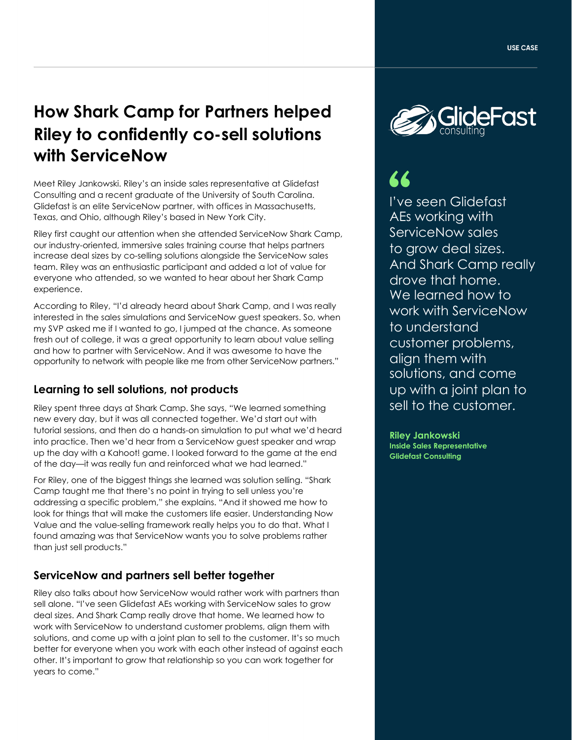# **How Shark Camp for Partners helped Riley to confidently co-sell solutions with ServiceNow**

Meet Riley Jankowski. Riley's an inside sales representative at Glidefast Consulting and a recent graduate of the University of South Carolina. Glidefast is an elite ServiceNow partner, with offices in Massachusetts, Texas, and Ohio, although Riley's based in New York City.

Riley first caught our attention when she attended ServiceNow Shark Camp, our industry-oriented, immersive sales training course that helps partners increase deal sizes by co-selling solutions alongside the ServiceNow sales team. Riley was an enthusiastic participant and added a lot of value for everyone who attended, so we wanted to hear about her Shark Camp experience.

According to Riley, "I'd already heard about Shark Camp, and I was really interested in the sales simulations and ServiceNow guest speakers. So, when my SVP asked me if I wanted to go, I jumped at the chance. As someone fresh out of college, it was a great opportunity to learn about value selling and how to partner with ServiceNow. And it was awesome to have the opportunity to network with people like me from other ServiceNow partners."

## **Learning to sell solutions, not products**

Riley spent three days at Shark Camp. She says, "We learned something new every day, but it was all connected together. We'd start out with tutorial sessions, and then do a hands-on simulation to put what we'd heard into practice. Then we'd hear from a ServiceNow guest speaker and wrap up the day with a Kahoot! game. I looked forward to the game at the end of the day—it was really fun and reinforced what we had learned."

For Riley, one of the biggest things she learned was solution selling. "Shark Camp taught me that there's no point in trying to sell unless you're addressing a specific problem," she explains. "And it showed me how to look for things that will make the customers life easier. Understanding Now Value and the value-selling framework really helps you to do that. What I found amazing was that ServiceNow wants you to solve problems rather than just sell products."

#### **ServiceNow and partners sell better together**

Riley also talks about how ServiceNow would rather work with partners than sell alone. "I've seen Glidefast AEs working with ServiceNow sales to grow deal sizes. And Shark Camp really drove that home. We learned how to work with ServiceNow to understand customer problems, align them with solutions, and come up with a joint plan to sell to the customer. It's so much better for everyone when you work with each other instead of against each other. It's important to grow that relationship so you can work together for years to come."



I've seen Glidefast AEs working with ServiceNow sales to grow deal sizes. And Shark Camp really drove that home. We learned how to work with ServiceNow to understand customer problems, align them with solutions, and come up with a joint plan to sell to the customer.

**Riley Jankowski Inside Sales Representative Glidefast Consulting**